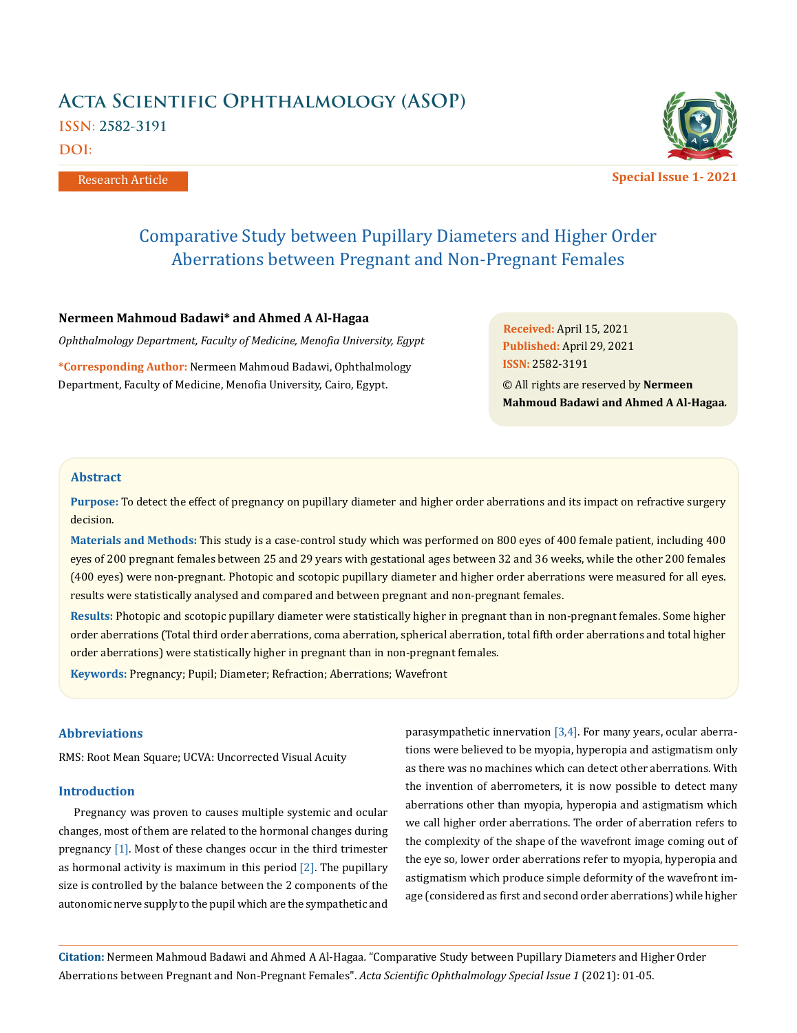# **Acta Scientific Ophthalmology (ASOP) ISSN: 2582-3191 DOI:**

Research Article



**Special Issue 1- 2021**

# Comparative Study between Pupillary Diameters and Higher Order Aberrations between Pregnant and Non-Pregnant Females

# **Nermeen Mahmoud Badawi\* and Ahmed A Al-Hagaa**

*Ophthalmology Department, Faculty of Medicine, Menofia University, Egypt*

**\*Corresponding Author:** Nermeen Mahmoud Badawi, Ophthalmology Department, Faculty of Medicine, Menofia University, Cairo, Egypt.

**Received:** April 15, 2021 **Published:** April 29, 2021 © All rights are reserved by **Nermeen Mahmoud Badawi and Ahmed A Al-Hagaa***.* **ISSN:** 2582-3191

## **Abstract**

**Purpose:** To detect the effect of pregnancy on pupillary diameter and higher order aberrations and its impact on refractive surgery decision.

**Materials and Methods:** This study is a case-control study which was performed on 800 eyes of 400 female patient, including 400 eyes of 200 pregnant females between 25 and 29 years with gestational ages between 32 and 36 weeks, while the other 200 females (400 eyes) were non-pregnant. Photopic and scotopic pupillary diameter and higher order aberrations were measured for all eyes. results were statistically analysed and compared and between pregnant and non-pregnant females.

**Results:** Photopic and scotopic pupillary diameter were statistically higher in pregnant than in non-pregnant females. Some higher order aberrations (Total third order aberrations, coma aberration, spherical aberration, total fifth order aberrations and total higher order aberrations) were statistically higher in pregnant than in non-pregnant females.

**Keywords:** Pregnancy; Pupil; Diameter; Refraction; Aberrations; Wavefront

# **Abbreviations**

RMS: Root Mean Square; UCVA: Uncorrected Visual Acuity

#### **Introduction**

Pregnancy was proven to causes multiple systemic and ocular changes, most of them are related to the hormonal changes during pregnancy [1]. Most of these changes occur in the third trimester as hormonal activity is maximum in this period [2]. The pupillary size is controlled by the balance between the 2 components of the autonomic nerve supply to the pupil which are the sympathetic and parasympathetic innervation  $[3,4]$ . For many years, ocular aberrations were believed to be myopia, hyperopia and astigmatism only as there was no machines which can detect other aberrations. With the invention of aberrometers, it is now possible to detect many aberrations other than myopia, hyperopia and astigmatism which we call higher order aberrations. The order of aberration refers to the complexity of the shape of the wavefront image coming out of the eye so, lower order aberrations refer to myopia, hyperopia and astigmatism which produce simple deformity of the wavefront image (considered as first and second order aberrations) while higher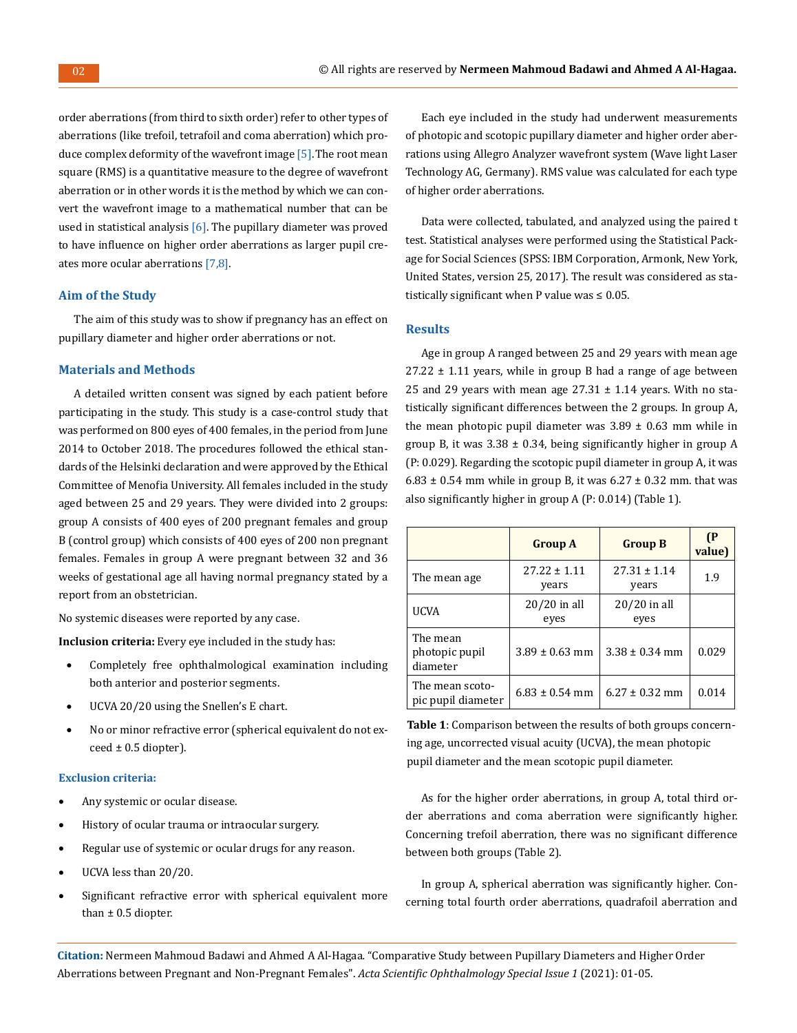order aberrations (from third to sixth order) refer to other types of aberrations (like trefoil, tetrafoil and coma aberration) which produce complex deformity of the wavefront image [5]. The root mean square (RMS) is a quantitative measure to the degree of wavefront aberration or in other words it is the method by which we can convert the wavefront image to a mathematical number that can be used in statistical analysis  $[6]$ . The pupillary diameter was proved to have influence on higher order aberrations as larger pupil creates more ocular aberrations [7,8].

## **Aim of the Study**

The aim of this study was to show if pregnancy has an effect on pupillary diameter and higher order aberrations or not.

# **Materials and Methods**

A detailed written consent was signed by each patient before participating in the study. This study is a case-control study that was performed on 800 eyes of 400 females, in the period from June 2014 to October 2018. The procedures followed the ethical standards of the Helsinki declaration and were approved by the Ethical Committee of Menofia University. All females included in the study aged between 25 and 29 years. They were divided into 2 groups: group A consists of 400 eyes of 200 pregnant females and group B (control group) which consists of 400 eyes of 200 non pregnant females. Females in group A were pregnant between 32 and 36 weeks of gestational age all having normal pregnancy stated by a report from an obstetrician.

No systemic diseases were reported by any case.

**Inclusion criteria:** Every eye included in the study has:

- Completely free ophthalmological examination including both anterior and posterior segments.
- UCVA 20/20 using the Snellen's E chart.
- No or minor refractive error (spherical equivalent do not ex- $\text{ceed} \pm 0.5$  diopter).

#### **Exclusion criteria:**

- Any systemic or ocular disease.
- • History of ocular trauma or intraocular surgery.
- • Regular use of systemic or ocular drugs for any reason.
- UCVA less than 20/20.
- Significant refractive error with spherical equivalent more than  $\pm$  0.5 diopter.

Each eye included in the study had underwent measurements of photopic and scotopic pupillary diameter and higher order aberrations using Allegro Analyzer wavefront system (Wave light Laser Technology AG, Germany). RMS value was calculated for each type of higher order aberrations.

Data were collected, tabulated, and analyzed using the paired t test. Statistical analyses were performed using the Statistical Package for Social Sciences (SPSS: IBM Corporation, Armonk, New York, United States, version 25, 2017). The result was considered as statistically significant when P value was  $\leq 0.05$ .

# **Results**

Age in group A ranged between 25 and 29 years with mean age  $27.22 \pm 1.11$  years, while in group B had a range of age between 25 and 29 years with mean age  $27.31 \pm 1.14$  years. With no statistically significant differences between the 2 groups. In group A, the mean photopic pupil diameter was  $3.89 \pm 0.63$  mm while in group B, it was  $3.38 \pm 0.34$ , being significantly higher in group A (P: 0.029). Regarding the scotopic pupil diameter in group A, it was 6.83  $\pm$  0.54 mm while in group B, it was 6.27  $\pm$  0.32 mm. that was also significantly higher in group A (P: 0.014) (Table 1).

|                                        | <b>Group A</b>            | <b>Group B</b>            | (P<br>value) |
|----------------------------------------|---------------------------|---------------------------|--------------|
| The mean age                           | $27.22 \pm 1.11$<br>years | $27.31 \pm 1.14$<br>years | 1.9          |
| UCVA                                   | $20/20$ in all<br>eves    | $20/20$ in all<br>eyes    |              |
| The mean<br>photopic pupil<br>diameter | $3.89 \pm 0.63$ mm        | $3.38 \pm 0.34$ mm        | 0.029        |
| The mean scoto-<br>pic pupil diameter  | $6.83 \pm 0.54$ mm        | $6.27 \pm 0.32$ mm        | 0.014        |

**Table 1**: Comparison between the results of both groups concerning age, uncorrected visual acuity (UCVA), the mean photopic pupil diameter and the mean scotopic pupil diameter.

As for the higher order aberrations, in group A, total third order aberrations and coma aberration were significantly higher. Concerning trefoil aberration, there was no significant difference between both groups (Table 2).

In group A, spherical aberration was significantly higher. Concerning total fourth order aberrations, quadrafoil aberration and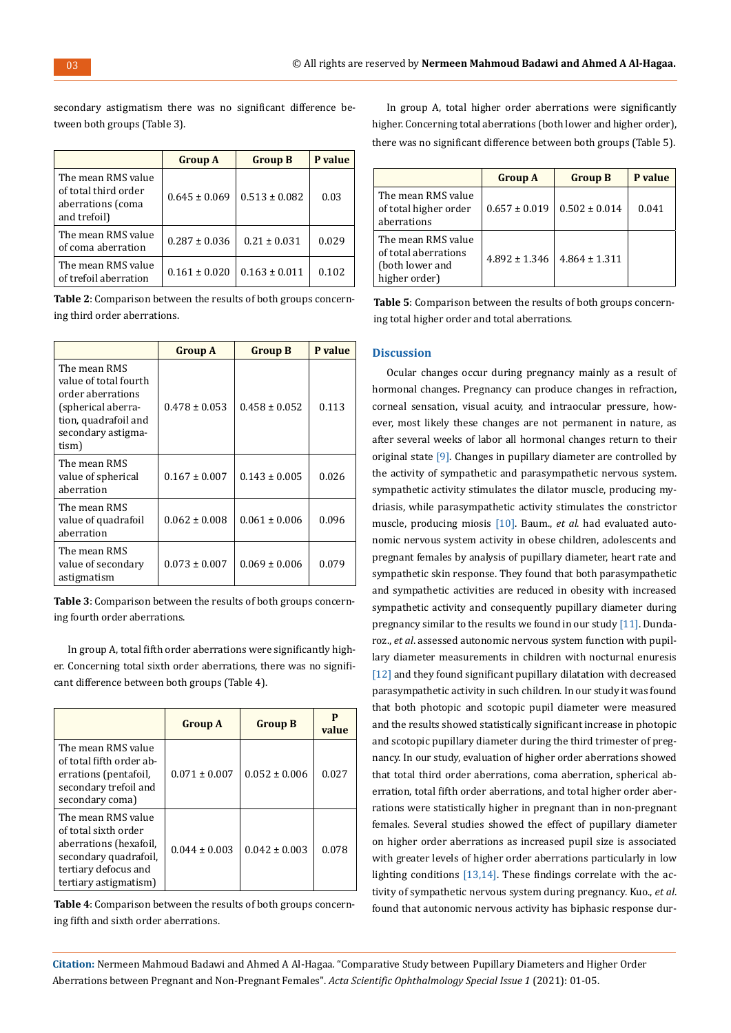**Group A Group B P value** The mean RMS value of total third order aberrations (coma and trefoil)  $0.645 \pm 0.069 \mid 0.513 \pm 0.082 \mid 0.03$ The mean RMS value of coma aberration  $\begin{array}{|l|c|c|c|c|c|c|c|c|} \hline 0.287 & 0.036 & 0.21 & 0.031 & 0.029 \ \hline \end{array}$ The mean RMS value of trefoil aberration  $0.161 \pm 0.020 \cdot 0.163 \pm 0.011 \cdot 0.102$ 

secondary astigmatism there was no significant difference between both groups (Table 3).

| <b>Table 2:</b> Comparison between the results of both groups concern- |  |
|------------------------------------------------------------------------|--|
| ing third order aberrations.                                           |  |

|                                                                                                                                         | <b>Group A</b>    | <b>Group B</b>    | P value |
|-----------------------------------------------------------------------------------------------------------------------------------------|-------------------|-------------------|---------|
| The mean RMS<br>value of total fourth<br>order aberrations<br>(spherical aberra-<br>tion, quadrafoil and<br>secondary astigma-<br>tism) | $0.478 \pm 0.053$ | $0.458 \pm 0.052$ | 0.113   |
| The mean RMS<br>value of spherical<br>aberration                                                                                        | $0.167 \pm 0.007$ | $0.143 \pm 0.005$ | 0.026   |
| The mean RMS<br>value of quadrafoil<br>aberration                                                                                       | $0.062 \pm 0.008$ | $0.061 \pm 0.006$ | 0.096   |
| The mean RMS<br>value of secondary<br>astigmatism                                                                                       | $0.073 \pm 0.007$ | $0.069 \pm 0.006$ | 0.079   |

**Table 3**: Comparison between the results of both groups concerning fourth order aberrations.

In group A, total fifth order aberrations were significantly higher. Concerning total sixth order aberrations, there was no significant difference between both groups (Table 4).

|                                                                                                                                                | <b>Group A</b>    | <b>Group B</b>    | P<br>value |
|------------------------------------------------------------------------------------------------------------------------------------------------|-------------------|-------------------|------------|
| The mean RMS value<br>of total fifth order ab-<br>errations (pentafoil,<br>secondary trefoil and<br>secondary coma)                            | $0.071 \pm 0.007$ | $0.052 \pm 0.006$ | 0.027      |
| The mean RMS value<br>of total sixth order<br>aberrations (hexafoil,<br>secondary quadrafoil,<br>tertiary defocus and<br>tertiary astigmatism) | $0.044 + 0.003$   | $0.042 \pm 0.003$ | 0.078      |

**Table 4**: Comparison between the results of both groups concerning fifth and sixth order aberrations.

In group A, total higher order aberrations were significantly higher. Concerning total aberrations (both lower and higher order), there was no significant difference between both groups (Table 5).

|                                                                                | <b>Group A</b>    | <b>Group B</b>    | P value |
|--------------------------------------------------------------------------------|-------------------|-------------------|---------|
| The mean RMS value<br>of total higher order<br>aberrations                     | $0.657 \pm 0.019$ | $0.502 \pm 0.014$ | 0.041   |
| The mean RMS value<br>of total aberrations<br>(both lower and<br>higher order) | $4.892 \pm 1.346$ | $4.864 \pm 1.311$ |         |

**Table 5**: Comparison between the results of both groups concerning total higher order and total aberrations.

## **Discussion**

Ocular changes occur during pregnancy mainly as a result of hormonal changes. Pregnancy can produce changes in refraction, corneal sensation, visual acuity, and intraocular pressure, however, most likely these changes are not permanent in nature, as after several weeks of labor all hormonal changes return to their original state [9]. Changes in pupillary diameter are controlled by the activity of sympathetic and parasympathetic nervous system. sympathetic activity stimulates the dilator muscle, producing mydriasis, while parasympathetic activity stimulates the constrictor muscle, producing miosis [10]. Baum., *et al*. had evaluated autonomic nervous system activity in obese children, adolescents and pregnant females by analysis of pupillary diameter, heart rate and sympathetic skin response. They found that both parasympathetic and sympathetic activities are reduced in obesity with increased sympathetic activity and consequently pupillary diameter during pregnancy similar to the results we found in our study [11]. Dundaroz., *et al*. assessed autonomic nervous system function with pupillary diameter measurements in children with nocturnal enuresis [12] and they found significant pupillary dilatation with decreased parasympathetic activity in such children. In our study it was found that both photopic and scotopic pupil diameter were measured and the results showed statistically significant increase in photopic and scotopic pupillary diameter during the third trimester of pregnancy. In our study, evaluation of higher order aberrations showed that total third order aberrations, coma aberration, spherical aberration, total fifth order aberrations, and total higher order aberrations were statistically higher in pregnant than in non-pregnant females. Several studies showed the effect of pupillary diameter on higher order aberrations as increased pupil size is associated with greater levels of higher order aberrations particularly in low lighting conditions [13,14]. These findings correlate with the activity of sympathetic nervous system during pregnancy. Kuo., *et al*. found that autonomic nervous activity has biphasic response dur-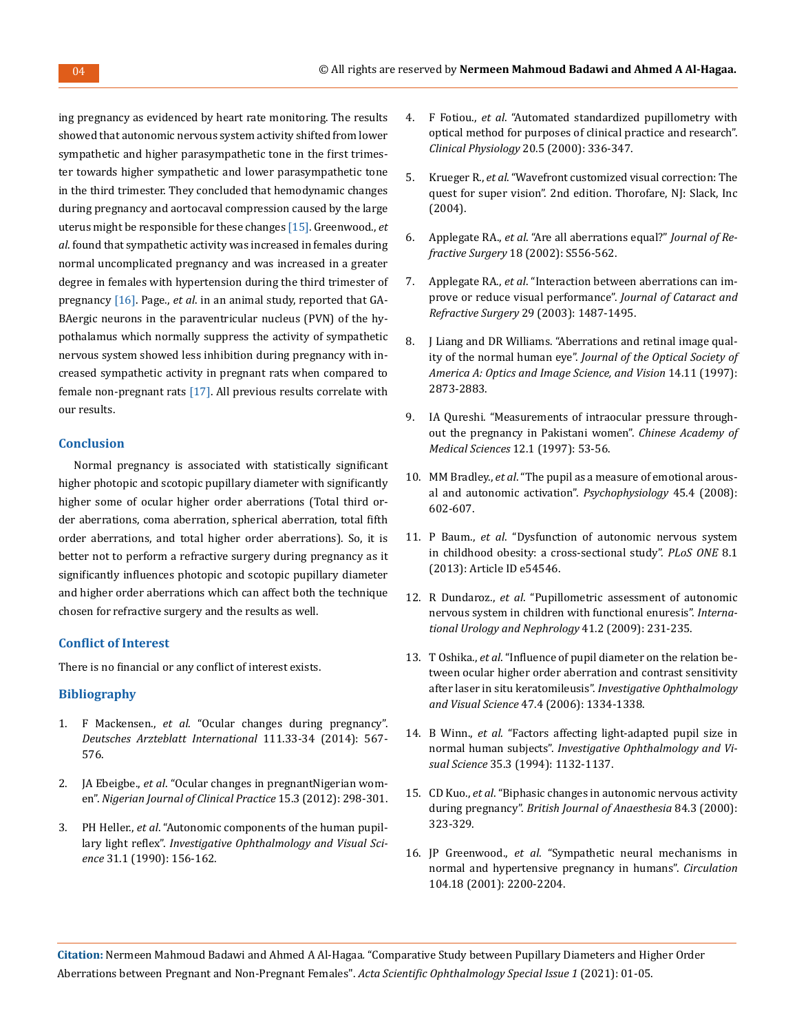ing pregnancy as evidenced by heart rate monitoring. The results showed that autonomic nervous system activity shifted from lower sympathetic and higher parasympathetic tone in the first trimester towards higher sympathetic and lower parasympathetic tone in the third trimester. They concluded that hemodynamic changes during pregnancy and aortocaval compression caused by the large uterus might be responsible for these changes [15]. Greenwood., *et al*. found that sympathetic activity was increased in females during normal uncomplicated pregnancy and was increased in a greater degree in females with hypertension during the third trimester of pregnancy [16]. Page., *et al*. in an animal study, reported that GA-BAergic neurons in the paraventricular nucleus (PVN) of the hypothalamus which normally suppress the activity of sympathetic nervous system showed less inhibition during pregnancy with increased sympathetic activity in pregnant rats when compared to female non-pregnant rats [17]. All previous results correlate with our results.

### **Conclusion**

Normal pregnancy is associated with statistically significant higher photopic and scotopic pupillary diameter with significantly higher some of ocular higher order aberrations (Total third order aberrations, coma aberration, spherical aberration, total fifth order aberrations, and total higher order aberrations). So, it is better not to perform a refractive surgery during pregnancy as it significantly influences photopic and scotopic pupillary diameter and higher order aberrations which can affect both the technique chosen for refractive surgery and the results as well.

### **Conflict of Interest**

There is no financial or any conflict of interest exists.

## **Bibliography**

- 1. F Mackensen., *et al*[. "Ocular changes during pregnancy".](https://www.aao.org/eyenet/article/ocular-changes-during-pregnancy)  *[Deutsches Arzteblatt International](https://www.aao.org/eyenet/article/ocular-changes-during-pregnancy)* 111.33-34 (2014): 567- [576.](https://www.aao.org/eyenet/article/ocular-changes-during-pregnancy)
- 2. JA Ebeigbe., *et al*[. "Ocular changes in pregnantNigerian wom](https://europepmc.org/article/MED/22960964)en". *[Nigerian Journal of Clinical Practice](https://europepmc.org/article/MED/22960964)* 15.3 (2012): 298-301.
- 3. PH Heller., *et al*[. "Autonomic components of the human pupil](https://iovs.arvojournals.org/article.aspx?articleid=2160324)lary light reflex". *[Investigative Ophthalmology and Visual Sci](https://iovs.arvojournals.org/article.aspx?articleid=2160324)ence* [31.1 \(1990\): 156-162.](https://iovs.arvojournals.org/article.aspx?articleid=2160324)
- 4. F Fotiou., *et al*[. "Automated standardized pupillometry with](https://pubmed.ncbi.nlm.nih.gov/10971544/)  [optical method for purposes of clinical practice and research".](https://pubmed.ncbi.nlm.nih.gov/10971544/)  *Clinical Physiology* [20.5 \(2000\): 336-347.](https://pubmed.ncbi.nlm.nih.gov/10971544/)
- 5. Krueger R., *et al*[. "Wavefront customized visual correction: The](https://journals.lww.com/optvissci/fulltext/2005/02000/wavefront_customized_visual_correction__a_quest.6.aspx)  [quest for super vision". 2nd edition. Thorofare, NJ: Slack, Inc](https://journals.lww.com/optvissci/fulltext/2005/02000/wavefront_customized_visual_correction__a_quest.6.aspx)  [\(2004\).](https://journals.lww.com/optvissci/fulltext/2005/02000/wavefront_customized_visual_correction__a_quest.6.aspx)
- 6. Applegate RA., *et al*[. "Are all aberrations equal?"](https://journals.healio.com/doi/10.3928/1081-597X-20020901-12) *Journal of Refractive Surgery* [18 \(2002\): S556-562.](https://journals.healio.com/doi/10.3928/1081-597X-20020901-12)
- 7. Applegate RA., *et al*[. "Interaction between aberrations can im](https://www.researchgate.net/publication/10584551_Interaction_between_aberrations_to_improve_or_reduce_visual_performance)[prove or reduce visual performance".](https://www.researchgate.net/publication/10584551_Interaction_between_aberrations_to_improve_or_reduce_visual_performance) *Journal of Cataract and Refractive Surgery* [29 \(2003\): 1487-1495.](https://www.researchgate.net/publication/10584551_Interaction_between_aberrations_to_improve_or_reduce_visual_performance)
- 8. [J Liang and DR Williams. "Aberrations and retinal image qual](https://pubmed.ncbi.nlm.nih.gov/9379245/)ity of the normal human eye". *[Journal of the Optical Society of](https://pubmed.ncbi.nlm.nih.gov/9379245/)  [America A: Optics and Image Science, and Vision](https://pubmed.ncbi.nlm.nih.gov/9379245/)* 14.11 (1997): [2873-2883.](https://pubmed.ncbi.nlm.nih.gov/9379245/)
- 9. [IA Qureshi. "Measurements of intraocular pressure through](https://pubmed.ncbi.nlm.nih.gov/11243101/)[out the pregnancy in Pakistani women".](https://pubmed.ncbi.nlm.nih.gov/11243101/) *Chinese Academy of Medical Sciences* [12.1 \(1997\): 53-56.](https://pubmed.ncbi.nlm.nih.gov/11243101/)
- 10. MM Bradley., *et al*[. "The pupil as a measure of emotional arous](https://www.researchgate.net/publication/5570397_The_pupil_as_a_measure_of_emotional_arousal_and_autonomic_activation)[al and autonomic activation".](https://www.researchgate.net/publication/5570397_The_pupil_as_a_measure_of_emotional_arousal_and_autonomic_activation) *Psychophysiology* 45.4 (2008): [602-607.](https://www.researchgate.net/publication/5570397_The_pupil_as_a_measure_of_emotional_arousal_and_autonomic_activation)
- 11. P Baum., *et al*[. "Dysfunction of autonomic nervous system](https://pubmed.ncbi.nlm.nih.gov/23358101/)  [in childhood obesity: a cross-sectional study".](https://pubmed.ncbi.nlm.nih.gov/23358101/) *PLoS ONE* 8.1 [\(2013\): Article ID e54546.](https://pubmed.ncbi.nlm.nih.gov/23358101/)
- 12. R Dundaroz., *et al*[. "Pupillometric assessment of autonomic](https://pubmed.ncbi.nlm.nih.gov/18853271/)  [nervous system in children with functional enuresis".](https://pubmed.ncbi.nlm.nih.gov/18853271/) *Interna[tional Urology and Nephrology](https://pubmed.ncbi.nlm.nih.gov/18853271/)* 41.2 (2009): 231-235.
- 13. T Oshika., *et al*[. "Influence of pupil diameter on the relation be](https://iovs.arvojournals.org/article.aspx?articleid=2202959)[tween ocular higher order aberration and contrast sensitivity](https://iovs.arvojournals.org/article.aspx?articleid=2202959)  [after laser in situ keratomileusis".](https://iovs.arvojournals.org/article.aspx?articleid=2202959) *Investigative Ophthalmology and Visual Science* [47.4 \(2006\): 1334-1338.](https://iovs.arvojournals.org/article.aspx?articleid=2202959)
- 14. B Winn., *et al*[. "Factors affecting light-adapted pupil size in](https://pubmed.ncbi.nlm.nih.gov/8125724/)  normal human subjects". *[Investigative Ophthalmology and Vi](https://pubmed.ncbi.nlm.nih.gov/8125724/)sual Science* [35.3 \(1994\): 1132-1137.](https://pubmed.ncbi.nlm.nih.gov/8125724/)
- 15. CD Kuo., *et al*[. "Biphasic changes in autonomic nervous activity](https://bjanaesthesia.org/article/S0007-0912(17)38828-1/fulltext)  during pregnancy". *[British Journal of Anaesthesia](https://bjanaesthesia.org/article/S0007-0912(17)38828-1/fulltext)* 84.3 (2000): [323-329.](https://bjanaesthesia.org/article/S0007-0912(17)38828-1/fulltext)
- 16. JP Greenwood., *et al*[. "Sympathetic neural mechanisms in](https://www.ahajournals.org/doi/full/10.1161/hc4301.098253)  [normal and hypertensive pregnancy in humans".](https://www.ahajournals.org/doi/full/10.1161/hc4301.098253) *Circulation* [104.18 \(2001\): 2200-2204.](https://www.ahajournals.org/doi/full/10.1161/hc4301.098253)